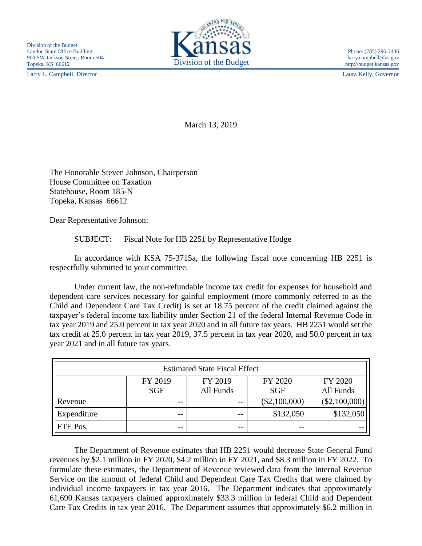Larry L. Campbell, Director Laura Kelly, Governor



March 13, 2019

The Honorable Steven Johnson, Chairperson House Committee on Taxation Statehouse, Room 185-N Topeka, Kansas 66612

Dear Representative Johnson:

SUBJECT: Fiscal Note for HB 2251 by Representative Hodge

In accordance with KSA 75-3715a, the following fiscal note concerning HB 2251 is respectfully submitted to your committee.

Under current law, the non-refundable income tax credit for expenses for household and dependent care services necessary for gainful employment (more commonly referred to as the Child and Dependent Care Tax Credit) is set at 18.75 percent of the credit claimed against the taxpayer's federal income tax liability under Section 21 of the federal Internal Revenue Code in tax year 2019 and 25.0 percent in tax year 2020 and in all future tax years. HB 2251 would set the tax credit at 25.0 percent in tax year 2019, 37.5 percent in tax year 2020, and 50.0 percent in tax year 2021 and in all future tax years.

| <b>Estimated State Fiscal Effect</b> |            |           |                 |                 |
|--------------------------------------|------------|-----------|-----------------|-----------------|
|                                      | FY 2019    | FY 2019   | FY 2020         | FY 2020         |
|                                      | <b>SGF</b> | All Funds | <b>SGF</b>      | All Funds       |
| Revenue                              | --         | $ -$      | $(\$2,100,000)$ | $(\$2,100,000)$ |
| Expenditure                          | --         | $ -$      | \$132,050       | \$132,050       |
| <b>FTE</b> Pos.                      | --         | $ -$      | $- -$           |                 |

The Department of Revenue estimates that HB 2251 would decrease State General Fund revenues by \$2.1 million in FY 2020, \$4.2 million in FY 2021, and \$8.3 million in FY 2022. To formulate these estimates, the Department of Revenue reviewed data from the Internal Revenue Service on the amount of federal Child and Dependent Care Tax Credits that were claimed by individual income taxpayers in tax year 2016. The Department indicates that approximately 61,690 Kansas taxpayers claimed approximately \$33.3 million in federal Child and Dependent Care Tax Credits in tax year 2016. The Department assumes that approximately \$6.2 million in